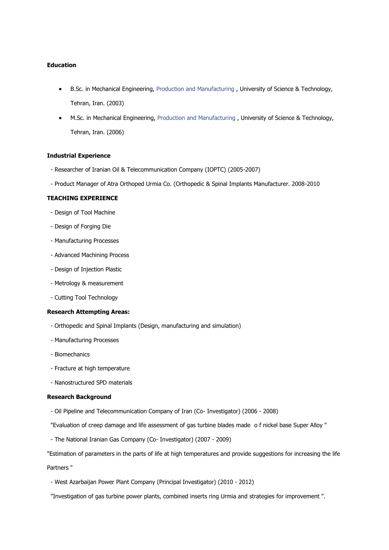# **Education**

- B.Sc. in Mechanical Engineering, Production and [Manufacturing](http://www.iust.ac.ir/page.php?slct_pg_id=3710&sid=16&slc_lang=en) , University of Science & Technology, Tehran, Iran. (2003)
- M.Sc. in Mechanical Engineering, Production and [Manufacturing](http://www.iust.ac.ir/page.php?slct_pg_id=3710&sid=16&slc_lang=en) , University of Science & Technology, Tehran, Iran. (2006)

#### **Industrial Experience**

- Researcher of Iranian Oil & Telecommunication Company (IOPTC) (2005-2007)
- Product Manager of Atra Orthoped Urmia Co. (Orthopedic & Spinal Implants Manufacturer. 2008-2010

### **TEACHING EXPERIENCE**

- Design of Tool Machine
- Design of Forging Die
- [Manufacturing](http://www.iust.ac.ir/files/mech/javanrodi_819ec/part2.zip) Processes
- Advanced Machining Process
- Design of Injection Plastic
- Metrology & measurement
- Cutting Tool Technology

## **Research Attempting Areas:**

- Orthopedic and Spinal Implants (Design, manufacturing and simulation)
- [Manufacturing](http://www.iust.ac.ir/files/mech/javanrodi_819ec/part2.zip) Processes
- [Biomechanics](http://www.iust.ac.ir/page.php?slct_pg_id=3712&sid=16&slc_lang=en)
- Fracture at high temperature
- Nanostructured SPD materials

### **Research Background**

- Oil Pipeline and Telecommunication Company of Iran (Co- Investigator) (2006 2008)
- "Evaluation of creep damage and life assessment of gas turbine blades made o f nickel base Super Alloy "
- The National Iranian Gas Company (Co- Investigator) (2007 2009)

"Estimation of parameters in the parts of life at high temperatures and provide suggestions for increasing the life Partners "

- West Azarbaijan Power Plant Company (Principal Investigator) (2010 - 2012)

"Investigation of gas turbine power plants, combined inserts ring Urmia and strategies for improvement ".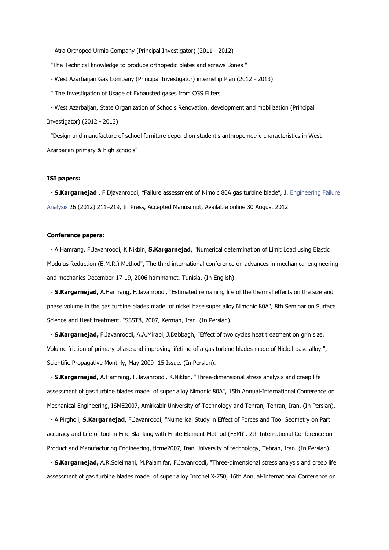- Atra Orthoped Urmia Company (Principal Investigator) (2011 - 2012)

"The Technical knowledge to produce orthopedic plates and screws Bones "

- West Azarbaijan Gas Company (Principal Investigator) internship Plan (2012 - 2013)

" The Investigation of Usage of Exhausted gases from CGS Filters "

- West Azarbaijan, State Organization of Schools Renovation, development and mobilization (Principal Investigator) (2012 - 2013)

"Design and manufacture of school furniture depend on student's anthropometric characteristics in West Azarbaijan primary & high schools"

#### **ISI papers:**

- **S.Kargarnejad** , F.Djavanroodi, "Failure assessment of Nimoic 80A gas turbine blade", J. [Engineering](http://www.sciencedirect.com/science/journal/13506307) Failure [Analysis](http://www.sciencedirect.com/science/journal/13506307) 26 (2012) 211–219, In Press, Accepted Manuscript, Available online 30 August 2012.

#### **Conference papers:**

- A.Hamrang, F.Javanroodi, K.Nikbin, **S.Kargarnejad**, "Numerical determination of Limit Load using Elastic Modulus Reduction (E.M.R.) Method", The third international conference on advances in mechanical engineering and mechanics December-17-19, 2006 hammamet, Tunisia. (In English).

- **S.Kargarnejad,** A.Hamrang, F.Javanroodi, "Estimated remaining life of the thermal effects on the size and phase volume in the gas turbine blades made of nickel base super alloy Nimonic 80A", 8th Seminar on Surface Science and Heat treatment, ISSST8, 2007, Kerman, Iran. (In Persian).

- **S.Kargarnejad,** F.Javanroodi, A.A.Mirabi, J.Dabbagh, "Effect of two cycles heat treatment on grin size, Volume friction of primary phase and improving lifetime of a gas turbine blades made of Nickel-base alloy ", Scientific-Propagative Monthly, May 2009- 15 Issue. (In Persian).

- **S.Kargarnejad,** A.Hamrang, F.Javanroodi, K.Nikbin, "Three-dimensional stress analysis and creep life assessment of gas turbine blades made of super alloy Nimonic 80A", 15th Annual-International Conference on Mechanical Engineering, ISME2007, Amirkabir University of Technology and Tehran, Tehran, Iran. (In Persian).

- A.Pirgholi, **S.Kargarnejad**, F.Javanroodi, "Numerical Study in Effect of Forces and Tool Geometry on Part accuracy and Life of tool in Fine Blanking with Finite Element Method (FEM)". 2th International Conference on Product and Manufacturing Engineering, ticme2007, Iran University of technology, Tehran, Iran. (In Persian).

- **S.Kargarnejad,** A.R.Soleimani, M.Paiamifar, F.Javanroodi, "Three-dimensional stress analysis and creep life assessment of gas turbine blades made of super alloy Inconel X-750, 16th Annual-International Conference on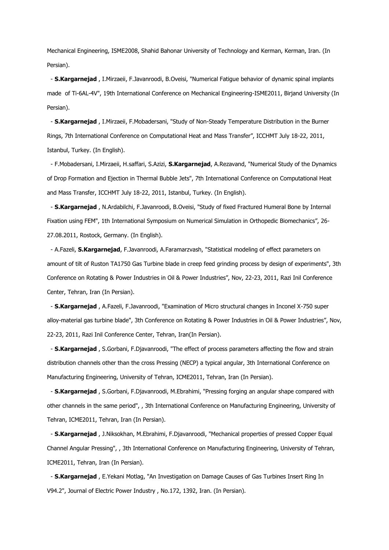Mechanical Engineering, ISME2008, Shahid Bahonar University of Technology and Kerman, Kerman, Iran. (In Persian).

- **S.Kargarnejad** , I.Mirzaeii, F.Javanroodi, B.Oveisi, "Numerical Fatigue behavior of dynamic spinal implants made of Ti-6AL-4V", 19th International Conference on Mechanical Engineering-ISME2011, Birjand University (In Persian).

- **S.Kargarnejad** , I.Mirzaeii, F.Mobadersani, "Study of Non-Steady Temperature Distribution in the Burner Rings, 7th International Conference on Computational Heat and Mass Transfer", ICCHMT July 18-22, 2011, Istanbul, Turkey. (In English).

- F.Mobadersani, I.Mirzaeii, H.saffari, S.Azizi, **S.Kargarnejad**, A.Rezavand, "Numerical Study of the Dynamics of Drop Formation and Ejection in Thermal Bubble Jets", 7th International Conference on Computational Heat and Mass Transfer, ICCHMT July 18-22, 2011, Istanbul, Turkey. (In English).

- **S.Kargarnejad** , N.Ardabilchi, F.Javanroodi, B.Oveisi, "Study of fixed Fractured Humeral Bone by Internal Fixation using FEM", 1th International Symposium on Numerical Simulation in Orthopedic Biomechanics", 26- 27.08.2011, Rostock, Germany. (In English).

- A.Fazeli, **S.Kargarnejad**, F.Javanroodi, A.Faramarzvash, "Statistical modeling of effect parameters on amount of tilt of Ruston TA1750 Gas Turbine blade in creep feed grinding process by design of experiments", 3th Conference on Rotating & Power Industries in Oil & Power Industries", Nov, 22-23, 2011, Razi Inil Conference Center, Tehran, Iran (In Persian).

- **S.Kargarnejad** , A.Fazeli, F.Javanroodi, "Examination of Micro structural changes in Inconel X-750 super alloy-material gas turbine blade", 3th Conference on Rotating & Power Industries in Oil & Power Industries", Nov, 22-23, 2011, Razi Inil Conference Center, Tehran, Iran(In Persian).

- **S.Kargarnejad** , S.Gorbani, F.Djavanroodi, "The effect of process parameters affecting the flow and strain distribution channels other than the cross Pressing (NECP) a typical angular, 3th International Conference on Manufacturing Engineering, University of Tehran, ICME2011, Tehran, Iran (In Persian).

- **S.Kargarnejad** , S.Gorbani, F.Djavanroodi, M.Ebrahimi, "Pressing forging an angular shape compared with other channels in the same period", , 3th International Conference on Manufacturing Engineering, University of Tehran, ICME2011, Tehran, Iran (In Persian).

- **S.Kargarnejad** , J.Niksokhan, M.Ebrahimi, F.Djavanroodi, "Mechanical properties of pressed Copper Equal Channel Angular Pressing", , 3th International Conference on Manufacturing Engineering, University of Tehran, ICME2011, Tehran, Iran (In Persian).

- **S.Kargarnejad** , E.Yekani Motlag, "An Investigation on Damage Causes of Gas Turbines Insert Ring In V94.2", Journal of Electric Power Industry , No.172, 1392, Iran. (In Persian).